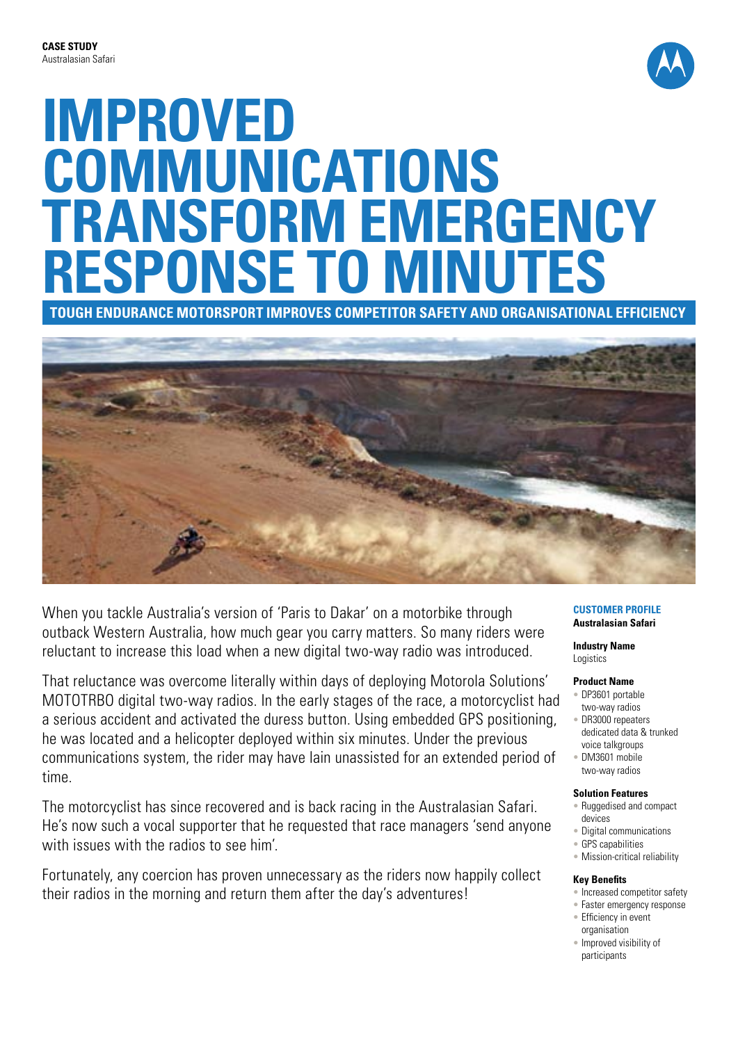

# **IMPROVED COMMUNICATIONS TRANSFORM EMERGENCY RESPONSE TO MINUTES**

**Tough endurance motorsport improves competitor safety and organisational efficiency**



When you tackle Australia's version of 'Paris to Dakar' on a motorbike through outback Western Australia, how much gear you carry matters. So many riders were reluctant to increase this load when a new digital two-way radio was introduced.

That reluctance was overcome literally within days of deploying Motorola Solutions' MOTOTRBO digital two-way radios. In the early stages of the race, a motorcyclist had a serious accident and activated the duress button. Using embedded GPS positioning, he was located and a helicopter deployed within six minutes. Under the previous communications system, the rider may have lain unassisted for an extended period of time.

The motorcyclist has since recovered and is back racing in the Australasian Safari. He's now such a vocal supporter that he requested that race managers 'send anyone with issues with the radios to see him'.

Fortunately, any coercion has proven unnecessary as the riders now happily collect their radios in the morning and return them after the day's adventures!

#### **Customer Profile Australasian Safari**

**Industry Name Logistics** 

# **Product Name**

- DP3601 portable two-way radios
- DR3000 repeaters dedicated data & trunked voice talkgroups
- DM3601 mobile two-way radios

# **Solution Features**

- Ruggedised and compact devices
- Digital communications
- GPS capabilities
- Mission-critical reliability

# **Key Benefits**

- Increased competitor safety
- Faster emergency response • Efficiency in event
- organisation
- Improved visibility of participants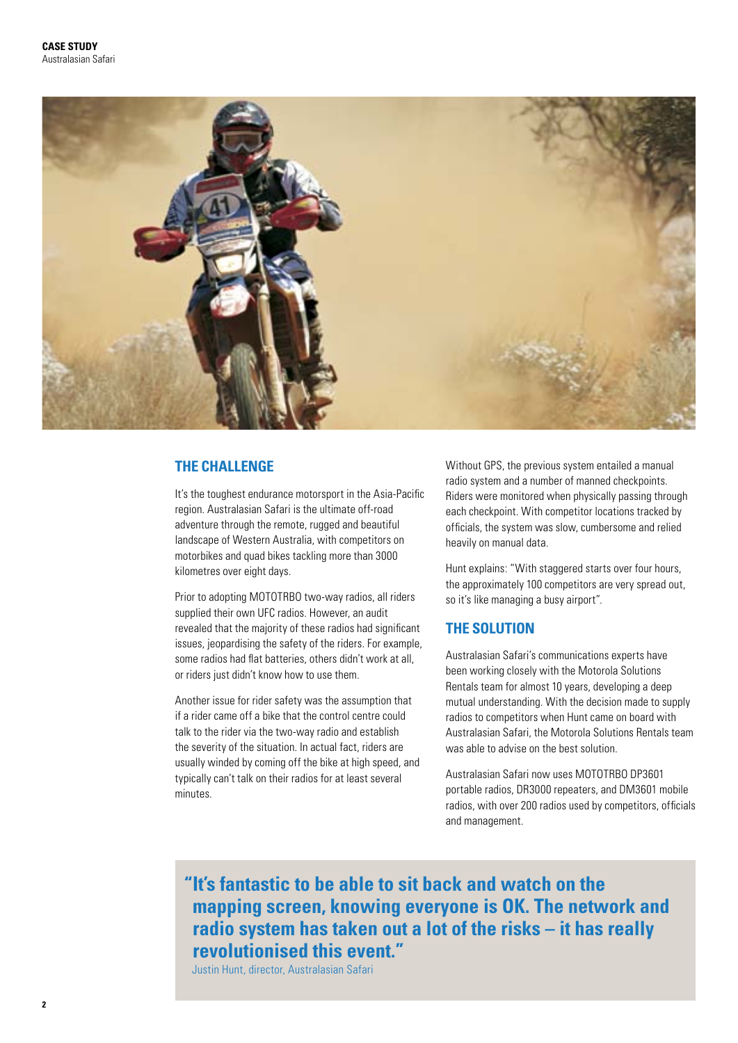

# **THE CHALLENGE**

It's the toughest endurance motorsport in the Asia-Pacific region. Australasian Safari is the ultimate off-road adventure through the remote, rugged and beautiful landscape of Western Australia, with competitors on motorbikes and quad bikes tackling more than 3000 kilometres over eight days.

Prior to adopting MOTOTRBO two-way radios, all riders supplied their own UFC radios. However, an audit revealed that the majority of these radios had significant issues, jeopardising the safety of the riders. For example, some radios had flat batteries, others didn't work at all, or riders just didn't know how to use them.

Another issue for rider safety was the assumption that if a rider came off a bike that the control centre could talk to the rider via the two-way radio and establish the severity of the situation. In actual fact, riders are usually winded by coming off the bike at high speed, and typically can't talk on their radios for at least several minutes.

Without GPS, the previous system entailed a manual radio system and a number of manned checkpoints. Riders were monitored when physically passing through each checkpoint. With competitor locations tracked by officials, the system was slow, cumbersome and relied heavily on manual data.

Hunt explains: "With staggered starts over four hours, the approximately 100 competitors are very spread out, so it's like managing a busy airport".

# **THE SOLUTION**

Australasian Safari's communications experts have been working closely with the Motorola Solutions Rentals team for almost 10 years, developing a deep mutual understanding. With the decision made to supply radios to competitors when Hunt came on board with Australasian Safari, the Motorola Solutions Rentals team was able to advise on the best solution.

Australasian Safari now uses MOTOTRBO DP3601 portable radios, DR3000 repeaters, and DM3601 mobile radios, with over 200 radios used by competitors, officials and management.

**"It's fantastic to be able to sit back and watch on the mapping screen, knowing everyone is OK. The network and radio system has taken out a lot of the risks – it has really revolutionised this event."** 

Justin Hunt, director, Australasian Safari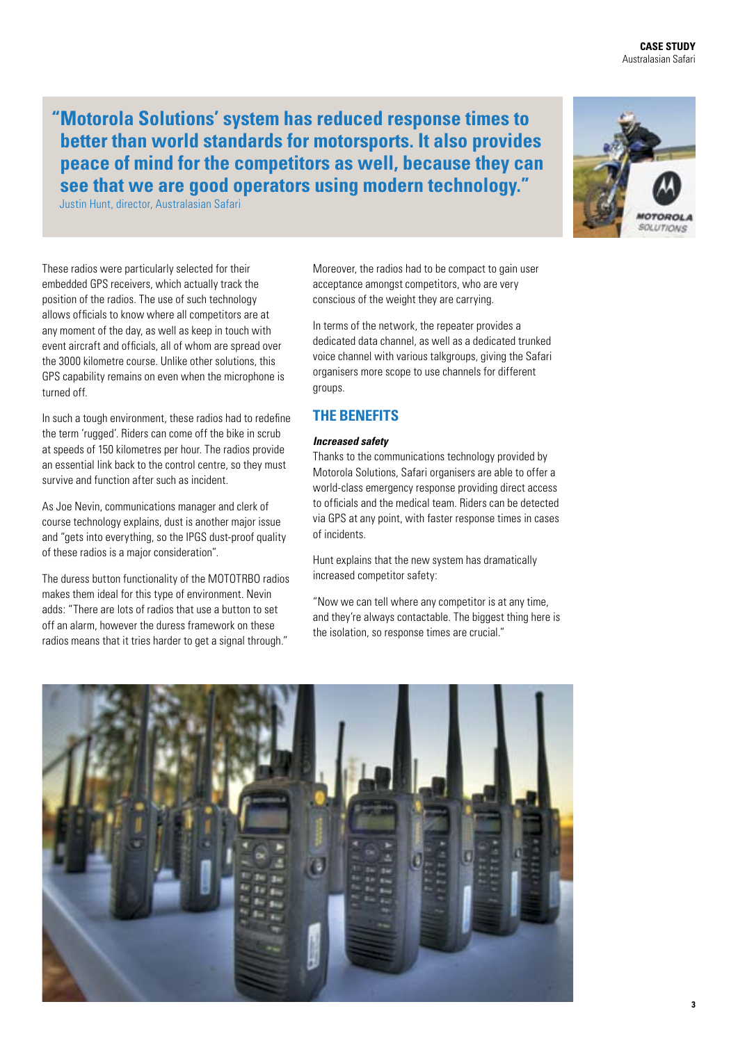**CASE STUDY** Australasian Safari

**"Motorola Solutions' system has reduced response times to better than world standards for motorsports. It also provides peace of mind for the competitors as well, because they can see that we are good operators using modern technology."** 

Justin Hunt, director, Australasian Safari

These radios were particularly selected for their embedded GPS receivers, which actually track the position of the radios. The use of such technology allows officials to know where all competitors are at any moment of the day, as well as keep in touch with event aircraft and officials, all of whom are spread over the 3000 kilometre course. Unlike other solutions, this GPS capability remains on even when the microphone is turned off.

In such a tough environment, these radios had to redefine the term 'rugged'. Riders can come off the bike in scrub at speeds of 150 kilometres per hour. The radios provide an essential link back to the control centre, so they must survive and function after such as incident.

As Joe Nevin, communications manager and clerk of course technology explains, dust is another major issue and "gets into everything, so the IPGS dust-proof quality of these radios is a major consideration".

The duress button functionality of the MOTOTRBO radios makes them ideal for this type of environment. Nevin adds: "There are lots of radios that use a button to set off an alarm, however the duress framework on these radios means that it tries harder to get a signal through."

Moreover, the radios had to be compact to gain user acceptance amongst competitors, who are very conscious of the weight they are carrying.

In terms of the network, the repeater provides a dedicated data channel, as well as a dedicated trunked voice channel with various talkgroups, giving the Safari organisers more scope to use channels for different groups.

# **THE BENEFITS**

# *Increased safety*

Thanks to the communications technology provided by Motorola Solutions, Safari organisers are able to offer a world-class emergency response providing direct access to officials and the medical team. Riders can be detected via GPS at any point, with faster response times in cases of incidents.

Hunt explains that the new system has dramatically increased competitor safety:

"Now we can tell where any competitor is at any time, and they're always contactable. The biggest thing here is the isolation, so response times are crucial."